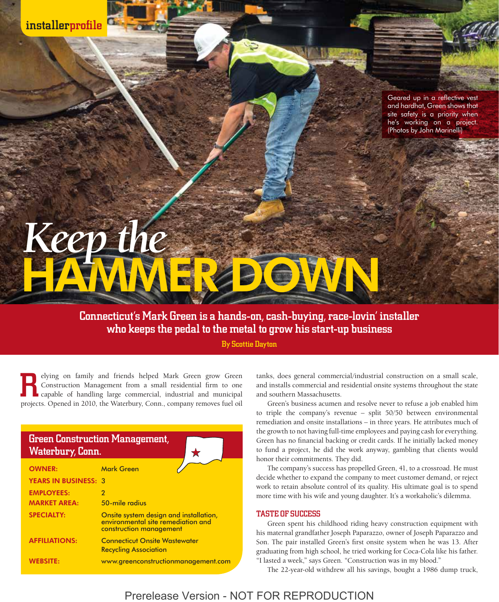installerprofile

Geared up in a reflective vest and hardhat, Green shows that site safety is a priority when he's working on a project. (Photos by John Marinelli)

# Keep the

Connecticut's Mark Green is a hands-on, cash-buying, race-lovin' installer who keeps the pedal to the metal to grow his start-up business

By Scottie Dayton

elying on family and friends helped Mark Green grow Green Construction Management from a small residential firm to one capable of handling large commercial, industrial and municipal elying on family and friends helped Mark Green grow Green Construction Management from a small residential firm to one capable of handling large commercial, industrial and municipal projects. Opened in 2010, the Waterbury,

| Green Construction Management,<br><b>Waterbury, Conn.</b> |                                                                                                         |
|-----------------------------------------------------------|---------------------------------------------------------------------------------------------------------|
| <b>OWNER:</b>                                             | <b>Mark Green</b>                                                                                       |
| <b>YEARS IN BUSINESS: 3</b>                               |                                                                                                         |
| <b>EMPLOYEES:</b>                                         | $\overline{2}$                                                                                          |
| <b>MARKET AREA:</b>                                       | 50-mile radius                                                                                          |
| <b>SPECIALTY:</b>                                         | Onsite system design and installation,<br>environmental site remediation and<br>construction management |
| <b>AFFILIATIONS:</b>                                      | <b>Connecticut Onsite Wastewater</b><br><b>Recycling Association</b>                                    |
| <b>WEBSITE:</b>                                           | www.greenconstructionmanagement.com                                                                     |

tanks, does general commercial/industrial construction on a small scale, and installs commercial and residential onsite systems throughout the state and southern Massachusetts.

Green's business acumen and resolve never to refuse a job enabled him to triple the company's revenue – split 50/50 between environmental remediation and onsite installations – in three years. He attributes much of the growth to not having full-time employees and paying cash for everything. Green has no financial backing or credit cards. If he initially lacked money to fund a project, he did the work anyway, gambling that clients would honor their commitments. They did.

The company's success has propelled Green, 41, to a crossroad. He must decide whether to expand the company to meet customer demand, or reject work to retain absolute control of its quality. His ultimate goal is to spend more time with his wife and young daughter. It's a workaholic's dilemma.

## TASTE OF SUCCESS

Green spent his childhood riding heavy construction equipment with his maternal grandfather Joseph Paparazzo, owner of Joseph Paparazzo and Son. The pair installed Green's first onsite system when he was 13. After graduating from high school, he tried working for Coca-Cola like his father. "I lasted a week," says Green. "Construction was in my blood."

The 22-year-old withdrew all his savings, bought a 1986 dump truck,

# Prerelease Version - NOT FOR REPRODUCTION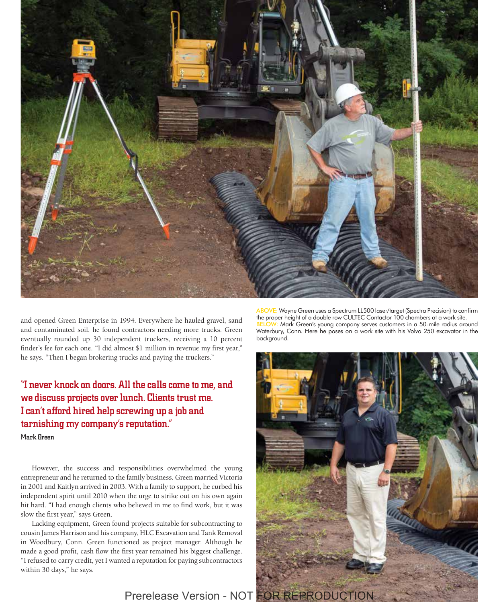

and opened Green Enterprise in 1994. Everywhere he hauled gravel, sand and contaminated soil, he found contractors needing more trucks. Green eventually rounded up 30 independent truckers, receiving a 10 percent finder's fee for each one. "I did almost \$1 million in revenue my first year," he says. "Then I began brokering trucks and paying the truckers."

"I never knock on doors. All the calls come to me, and we discuss projects over lunch. Clients trust me. I can't afford hired help screwing up a job and tarnishing my company's reputation." Mark Green

However, the success and responsibilities overwhelmed the young entrepreneur and he returned to the family business. Green married Victoria in 2001 and Kaitlyn arrived in 2003. With a family to support, he curbed his independent spirit until 2010 when the urge to strike out on his own again hit hard. "I had enough clients who believed in me to find work, but it was slow the first year," says Green.

Lacking equipment, Green found projects suitable for subcontracting to cousin James Harrison and his company, HLC Excavation and Tank Removal in Woodbury, Conn. Green functioned as project manager. Although he made a good profit, cash flow the first year remained his biggest challenge. "I refused to carry credit, yet I wanted a reputation for paying subcontractors within 30 days," he says.

ABOVE: Wayne Green uses a Spectrum LL500 laser/target (Spectra Precision) to confirm the proper height of a double row CULTEC Contactor 100 chambers at a work site. W: Mark Green's young company serves customers in a 50-mile radius around Waterbury, Conn. Here he poses on a work site with his Volvo 250 excavator in the background.

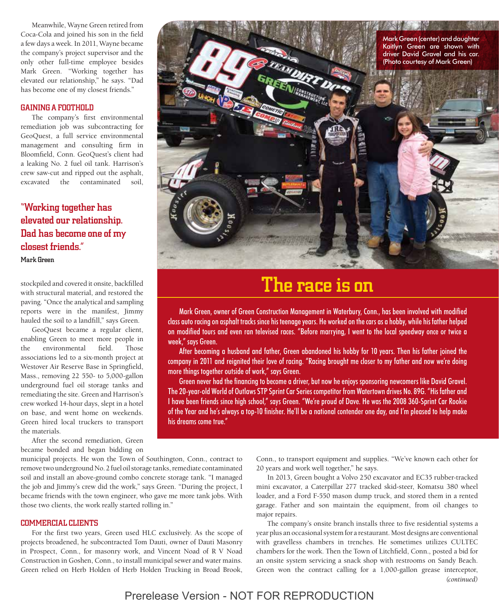Meanwhile, Wayne Green retired from Coca-Cola and joined his son in the field a few days a week. In 2011, Wayne became the company's project supervisor and the only other full-time employee besides Mark Green. "Working together has elevated our relationship," he says. "Dad has become one of my closest friends."

# GAINING A FOOTHOLD

The company's first environmental remediation job was subcontracting for GeoQuest, a full service environmental management and consulting firm in Bloomfield, Conn. GeoQuest's client had a leaking No. 2 fuel oil tank. Harrison's crew saw-cut and ripped out the asphalt, excavated the contaminated soil,

"Working together has elevated our relationship. Dad has become one of my closest friends." Mark Green

stockpiled and covered it onsite, backfilled with structural material, and restored the paving. "Once the analytical and sampling reports were in the manifest, Jimmy hauled the soil to a landfill," says Green.

GeoQuest became a regular client, enabling Green to meet more people in the environmental field. Those associations led to a six-month project at Westover Air Reserve Base in Springfield, Mass., removing 22 550- to 5,000-gallon underground fuel oil storage tanks and remediating the site. Green and Harrison's crew worked 14-hour days, slept in a hotel on base, and went home on weekends. Green hired local truckers to transport the materials.

After the second remediation, Green became bonded and began bidding on

municipal projects. He won the Town of Southington, Conn., contract to remove two underground No. 2 fuel oil storage tanks, remediate contaminated soil and install an above-ground combo concrete storage tank. "I managed the job and Jimmy's crew did the work," says Green. "During the project, I became friends with the town engineer, who gave me more tank jobs. With those two clients, the work really started rolling in."

# COMMERCIAL CLIENTS

For the first two years, Green used HLC exclusively. As the scope of projects broadened, he subcontracted Tom Dauti, owner of Dauti Masonry in Prospect, Conn., for masonry work, and Vincent Noad of R V Noad Construction in Goshen, Conn., to install municipal sewer and water mains. Green relied on Herb Holden of Herb Holden Trucking in Broad Brook,



# The race is on

Mark Green, owner of Green Construction Management in Waterbury, Conn., has been involved with modified class auto racing on asphalt tracks since his teenage years. He worked on the cars as a hobby, while his father helped on modified tours and even ran televised races. "Before marrying, I went to the local speedway once or twice a week," says Green.

After becoming a husband and father, Green abandoned his hobby for 10 years. Then his father joined the company in 2011 and reignited their love of racing. "Racing brought me closer to my father and now we're doing more things together outside of work," says Green.

Green never had the financing to become a driver, but now he enjoys sponsoring newcomers like David Gravel. The 20-year-old World of Outlaws STP Sprint Car Series competitor from Watertown drives No. 89G. "His father and I have been friends since high school," says Green. "We're proud of Dave. He was the 2008 360-Sprint Car Rookie of the Year and he's always a top-10 finisher. He'll be a national contender one day, and I'm pleased to help make his dreams come true."

> Conn., to transport equipment and supplies. "We've known each other for 20 years and work well together," he says.

> In 2013, Green bought a Volvo 250 excavator and EC35 rubber-tracked mini excavator, a Caterpillar 277 tracked skid-steer, Komatsu 380 wheel loader, and a Ford F-550 mason dump truck, and stored them in a rented garage. Father and son maintain the equipment, from oil changes to major repairs.

> The company's onsite branch installs three to five residential systems a year plus an occasional system for a restaurant. Most designs are conventional with gravelless chambers in trenches. He sometimes utilizes CULTEC chambers for the work. Then the Town of Litchfield, Conn., posted a bid for an onsite system servicing a snack shop with restrooms on Sandy Beach. Green won the contract calling for a 1,000-gallon grease interceptor, *(continued)*

Prerelease Version - NOT FOR REPRODUCTION